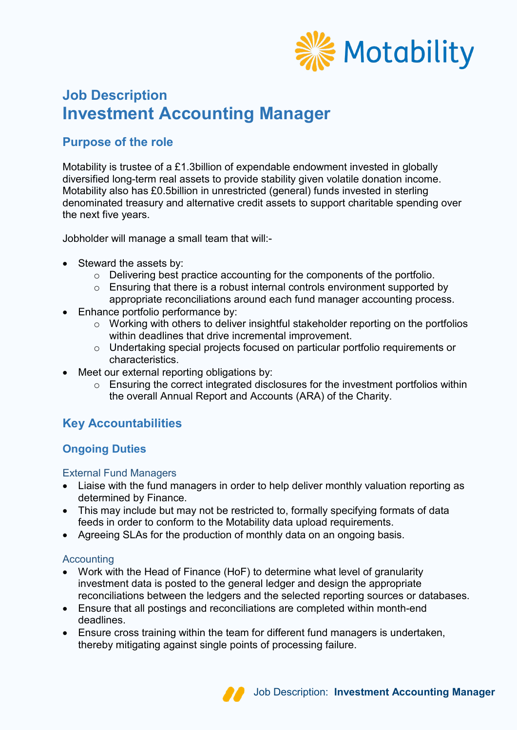

# **Job Description Investment Accounting Manager**

# **Purpose of the role**

Motability is trustee of a £1.3billion of expendable endowment invested in globally diversified long-term real assets to provide stability given volatile donation income. Motability also has £0.5billion in unrestricted (general) funds invested in sterling denominated treasury and alternative credit assets to support charitable spending over the next five years.

Jobholder will manage a small team that will:-

- Steward the assets by:
	- o Delivering best practice accounting for the components of the portfolio.
	- o Ensuring that there is a robust internal controls environment supported by appropriate reconciliations around each fund manager accounting process.
- Enhance portfolio performance by:
	- o Working with others to deliver insightful stakeholder reporting on the portfolios within deadlines that drive incremental improvement.
	- o Undertaking special projects focused on particular portfolio requirements or characteristics.
- Meet our external reporting obligations by:
	- o Ensuring the correct integrated disclosures for the investment portfolios within the overall Annual Report and Accounts (ARA) of the Charity.

# **Key Accountabilities**

## **Ongoing Duties**

## External Fund Managers

- Liaise with the fund managers in order to help deliver monthly valuation reporting as determined by Finance.
- This may include but may not be restricted to, formally specifying formats of data feeds in order to conform to the Motability data upload requirements.
- Agreeing SLAs for the production of monthly data on an ongoing basis.

## **Accounting**

- Work with the Head of Finance (HoF) to determine what level of granularity investment data is posted to the general ledger and design the appropriate reconciliations between the ledgers and the selected reporting sources or databases.
- Ensure that all postings and reconciliations are completed within month-end deadlines.
- Ensure cross training within the team for different fund managers is undertaken, thereby mitigating against single points of processing failure.

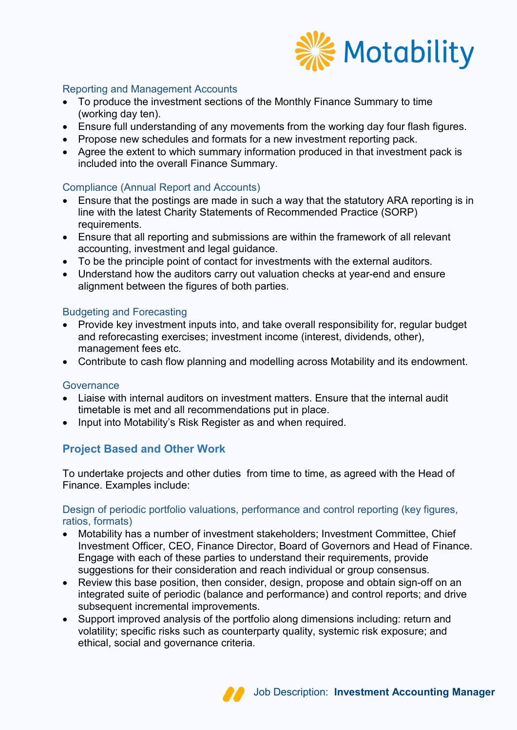

## Reporting and Management Accounts

- To produce the investment sections of the Monthly Finance Summary to time (working day ten).
- Ensure full understanding of any movements from the working day four flash figures.
- Propose new schedules and formats for a new investment reporting pack.
- Agree the extent to which summary information produced in that investment pack is included into the overall Finance Summary.

## Compliance (Annual Report and Accounts)

- Ensure that the postings are made in such a way that the statutory ARA reporting is in line with the latest Charity Statements of Recommended Practice (SORP) requirements.
- Ensure that all reporting and submissions are within the framework of all relevant accounting, investment and legal guidance.
- To be the principle point of contact for investments with the external auditors.
- Understand how the auditors carry out valuation checks at year-end and ensure alignment between the figures of both parties.

## Budgeting and Forecasting

- Provide key investment inputs into, and take overall responsibility for, regular budget and reforecasting exercises; investment income (interest, dividends, other), management fees etc.
- Contribute to cash flow planning and modelling across Motability and its endowment.

## **Governance**

- Liaise with internal auditors on investment matters. Ensure that the internal audit timetable is met and all recommendations put in place.
- Input into Motability's Risk Register as and when required.

## **Project Based and Other Work**

To undertake projects and other duties from time to time, as agreed with the Head of Finance. Examples include:

## Design of periodic portfolio valuations, performance and control reporting (key figures, ratios, formats)

- Motability has a number of investment stakeholders; Investment Committee, Chief Investment Officer, CEO, Finance Director, Board of Governors and Head of Finance. Engage with each of these parties to understand their requirements, provide suggestions for their consideration and reach individual or group consensus.
- Review this base position, then consider, design, propose and obtain sign-off on an integrated suite of periodic (balance and performance) and control reports; and drive subsequent incremental improvements.
- Support improved analysis of the portfolio along dimensions including: return and volatility; specific risks such as counterparty quality, systemic risk exposure; and ethical, social and governance criteria.